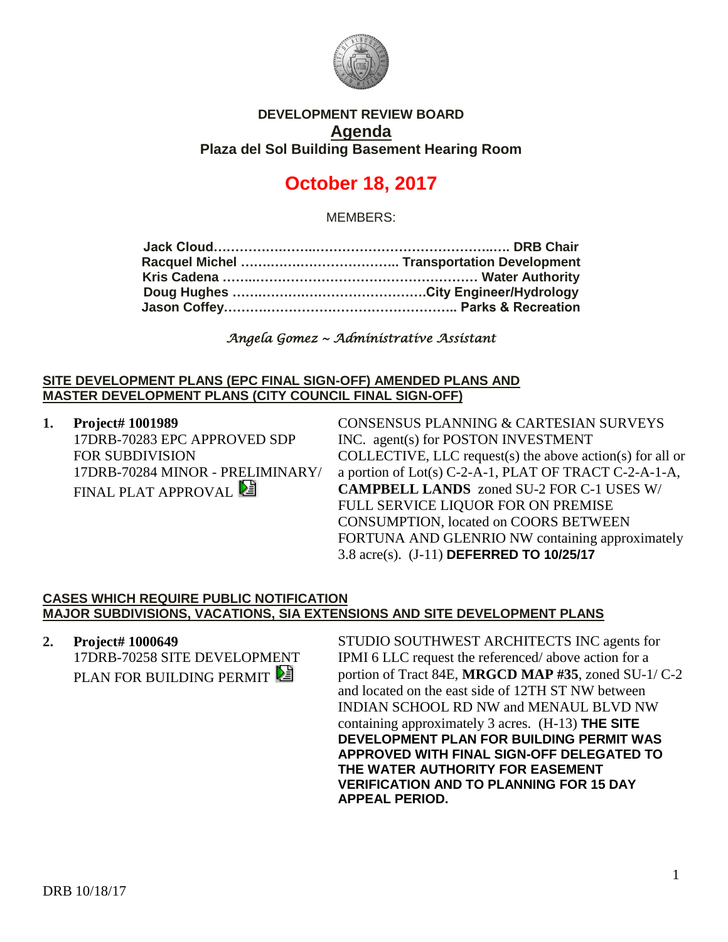

## **DEVELOPMENT REVIEW BOARD Agenda Plaza del Sol Building Basement Hearing Room**

# **October 18, 2017**

MEMBERS:

*Angela Gomez ~ Administrative Assistant* 

#### **SITE DEVELOPMENT PLANS (EPC FINAL SIGN-OFF) AMENDED PLANS AND MASTER DEVELOPMENT PLANS (CITY COUNCIL FINAL SIGN-OFF)**

**1. Project# 1001989** 17DRB-70283 EPC APPROVED SDP FOR SUBDIVISION 17DRB-70284 MINOR - PRELIMINARY/ FINAL PLAT APPROVAL

CONSENSUS PLANNING & CARTESIAN SURVEYS INC. agent(s) for POSTON INVESTMENT COLLECTIVE, LLC request(s) the above action(s) for all or a portion of Lot(s) C-2-A-1, PLAT OF TRACT C-2-A-1-A, **CAMPBELL LANDS** zoned SU-2 FOR C-1 USES W/ FULL SERVICE LIQUOR FOR ON PREMISE CONSUMPTION, located on COORS BETWEEN FORTUNA AND GLENRIO NW containing approximately 3.8 acre(s). (J-11) **DEFERRED TO 10/25/17**

### **CASES WHICH REQUIRE PUBLIC NOTIFICATION MAJOR SUBDIVISIONS, VACATIONS, SIA EXTENSIONS AND SITE DEVELOPMENT PLANS**

**2. Project# 1000649** 17DRB-70258 SITE DEVELOPMENT PLAN FOR BUILDING PERMIT

STUDIO SOUTHWEST ARCHITECTS INC agents for IPMI 6 LLC request the referenced/ above action for a portion of Tract 84E, **MRGCD MAP #35**, zoned SU-1/ C-2 and located on the east side of 12TH ST NW between INDIAN SCHOOL RD NW and MENAUL BLVD NW containing approximately 3 acres. (H-13) **THE SITE DEVELOPMENT PLAN FOR BUILDING PERMIT WAS APPROVED WITH FINAL SIGN-OFF DELEGATED TO THE WATER AUTHORITY FOR EASEMENT VERIFICATION AND TO PLANNING FOR 15 DAY APPEAL PERIOD.**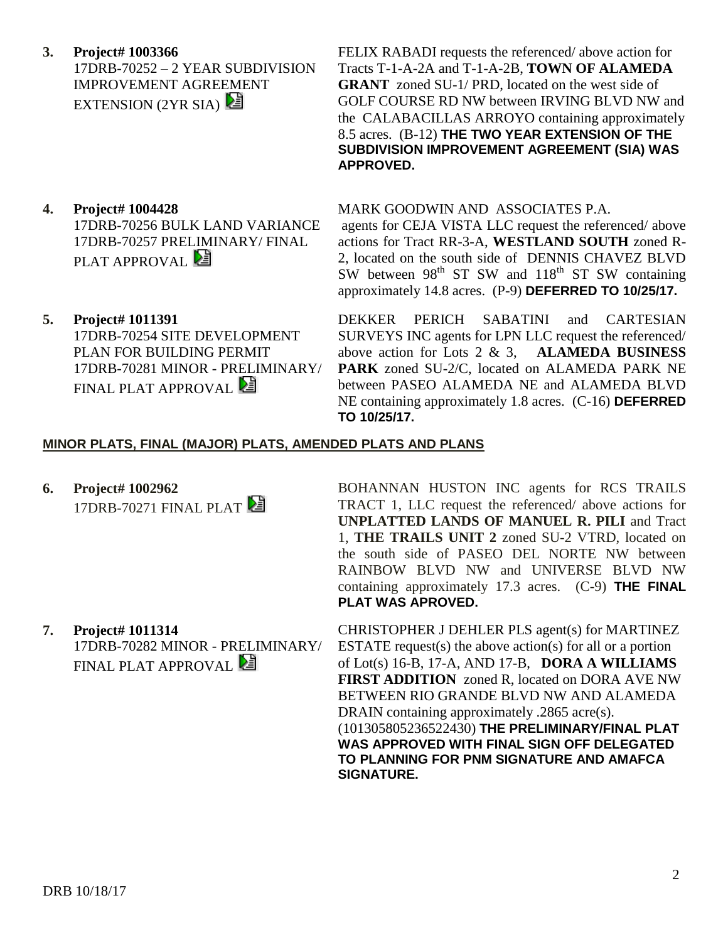DRB 10/18/17

**3. Project# 1003366** 17DRB-70252 – 2 YEAR SUBDIVISION IMPROVEMENT AGREEMENT EXTENSION (2YR SIA)

- **4. Project# 1004428** 17DRB-70256 BULK LAND VARIANCE 17DRB-70257 PRELIMINARY/ FINAL PLAT APPROVAL
- **5. Project# 1011391** 17DRB-70254 SITE DEVELOPMENT PLAN FOR BUILDING PERMIT 17DRB-70281 MINOR - PRELIMINARY/ FINAL PLAT APPROVAL

17DRB-70282 MINOR - PRELIMINARY/

FINAL PLAT APPROVAL **E** 

FELIX RABADI requests the referenced/ above action for Tracts T-1-A-2A and T-1-A-2B, **TOWN OF ALAMEDA GRANT** zoned SU-1/ PRD, located on the west side of GOLF COURSE RD NW between IRVING BLVD NW and the CALABACILLAS ARROYO containing approximately 8.5 acres. (B-12) **THE TWO YEAR EXTENSION OF THE SUBDIVISION IMPROVEMENT AGREEMENT (SIA) WAS APPROVED.**

#### MARK GOODWIN AND ASSOCIATES P.A.

agents for CEJA VISTA LLC request the referenced/ above actions for Tract RR-3-A, **WESTLAND SOUTH** zoned R-2, located on the south side of DENNIS CHAVEZ BLVD SW between  $98<sup>th</sup>$  ST SW and  $118<sup>th</sup>$  ST SW containing approximately 14.8 acres. (P-9) **DEFERRED TO 10/25/17.**

DEKKER PERICH SABATINI and CARTESIAN SURVEYS INC agents for LPN LLC request the referenced/ above action for Lots 2 & 3, **ALAMEDA BUSINESS PARK** zoned SU-2/C, located on ALAMEDA PARK NE between PASEO ALAMEDA NE and ALAMEDA BLVD NE containing approximately 1.8 acres. (C-16) **DEFERRED TO 10/25/17.**

### **MINOR PLATS, FINAL (MAJOR) PLATS, AMENDED PLATS AND PLANS**

**6. Project# 1002962** 17DRB-70271 FINAL PLAT

**7. Project# 1011314**

BOHANNAN HUSTON INC agents for RCS TRAILS TRACT 1, LLC request the referenced/ above actions for **UNPLATTED LANDS OF MANUEL R. PILI** and Tract 1, **THE TRAILS UNIT 2** zoned SU-2 VTRD, located on the south side of PASEO DEL NORTE NW between RAINBOW BLVD NW and UNIVERSE BLVD NW containing approximately 17.3 acres. (C-9) **THE FINAL PLAT WAS APROVED.**

CHRISTOPHER J DEHLER PLS agent(s) for MARTINEZ ESTATE request(s) the above action(s) for all or a portion of Lot(s) 16-B, 17-A, AND 17-B, **DORA A WILLIAMS FIRST ADDITION** zoned R, located on DORA AVE NW BETWEEN RIO GRANDE BLVD NW AND ALAMEDA DRAIN containing approximately .2865 acre(s). (101305805236522430) **THE PRELIMINARY/FINAL PLAT WAS APPROVED WITH FINAL SIGN OFF DELEGATED TO PLANNING FOR PNM SIGNATURE AND AMAFCA SIGNATURE.**